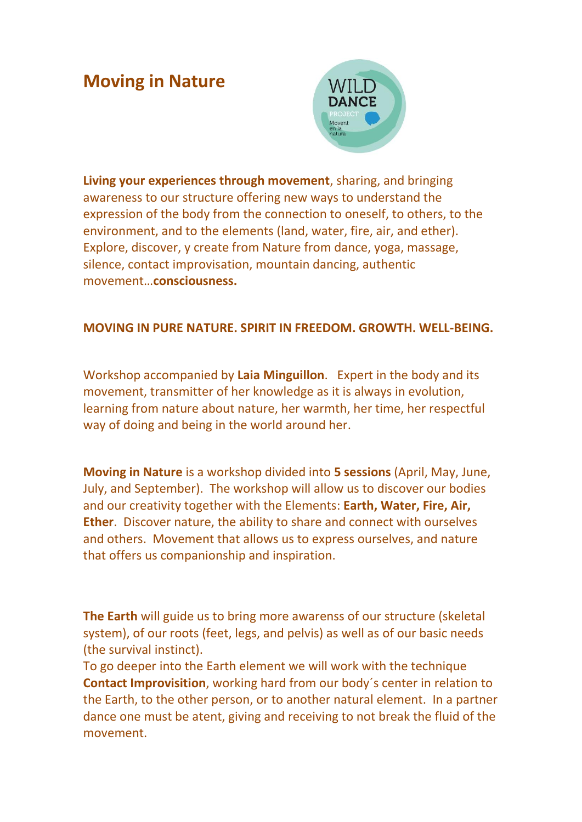## **Moving in Nature**



**Living your experiences through movement**, sharing, and bringing awareness to our structure offering new ways to understand the expression of the body from the connection to oneself, to others, to the environment, and to the elements (land, water, fire, air, and ether). Explore, discover, y create from Nature from dance, yoga, massage, silence, contact improvisation, mountain dancing, authentic movement…**consciousness.**

## **MOVING IN PURE NATURE. SPIRIT IN FREEDOM. GROWTH. WELL-BEING.**

Workshop accompanied by **Laia Minguillon**. Expert in the body and its movement, transmitter of her knowledge as it is always in evolution, learning from nature about nature, her warmth, her time, her respectful way of doing and being in the world around her.

**Moving in Nature** is a workshop divided into **5 sessions** (April, May, June, July, and September). The workshop will allow us to discover our bodies and our creativity together with the Elements: **Earth, Water, Fire, Air, Ether**. Discover nature, the ability to share and connect with ourselves and others. Movement that allows us to express ourselves, and nature that offers us companionship and inspiration.

**The Earth** will guide us to bring more awarenss of our structure (skeletal system), of our roots (feet, legs, and pelvis) as well as of our basic needs (the survival instinct).

To go deeper into the Earth element we will work with the technique **Contact Improvisition**, working hard from our body´s center in relation to the Earth, to the other person, or to another natural element. In a partner dance one must be atent, giving and receiving to not break the fluid of the movement.